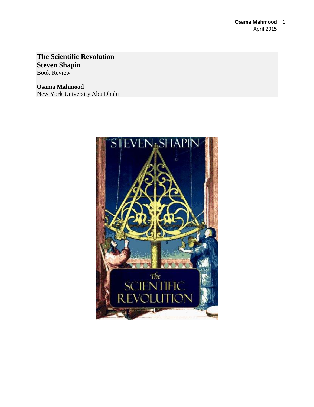## **The Scientific Revolution Steven Shapin** Book Review

**Osama Mahmood** New York University Abu Dhabi

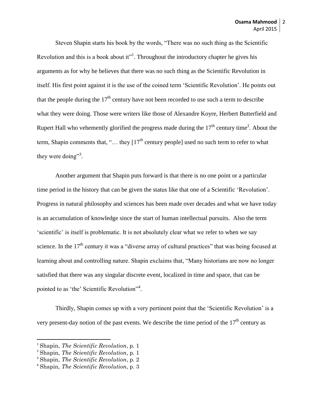Steven Shapin starts his book by the words, "There was no such thing as the Scientific Revolution and this is a book about it"<sup>1</sup>. Throughout the introductory chapter he gives his arguments as for why he believes that there was no such thing as the Scientific Revolution in itself. His first point against it is the use of the coined term 'Scientific Revolution'. He points out that the people during the  $17<sup>th</sup>$  century have not been recorded to use such a term to describe what they were doing. Those were writers like those of Alexandre Koyre, Herbert Butterfield and Rupert Hall who vehemently glorified the progress made during the  $17<sup>th</sup>$  century time<sup>2</sup>. About the term, Shapin comments that, "... they  $[17<sup>th</sup>$  century people] used no such term to refer to what they were doing"<sup>3</sup>.

Another argument that Shapin puts forward is that there is no one point or a particular time period in the history that can be given the status like that one of a Scientific 'Revolution'. Progress in natural philosophy and sciences has been made over decades and what we have today is an accumulation of knowledge since the start of human intellectual pursuits. Also the term 'scientific' is itself is problematic. It is not absolutely clear what we refer to when we say science. In the  $17<sup>th</sup>$  century it was a "diverse array of cultural practices" that was being focused at learning about and controlling nature. Shapin exclaims that, "Many historians are now no longer satisfied that there was any singular discrete event, localized in time and space, that can be pointed to as 'the' Scientific Revolution"<sup>4</sup>.

Thirdly, Shapin comes up with a very pertinent point that the 'Scientific Revolution' is a very present-day notion of the past events. We describe the time period of the  $17<sup>th</sup>$  century as

 $\overline{\phantom{a}}$ 

<sup>1</sup> Shapin, *The Scientific Revolution*, p. 1

<sup>2</sup> Shapin, *The Scientific Revolution*, p. 1

<sup>3</sup> Shapin, *The Scientific Revolution*, p. 2

<sup>4</sup> Shapin, *The Scientific Revolution*, p. 3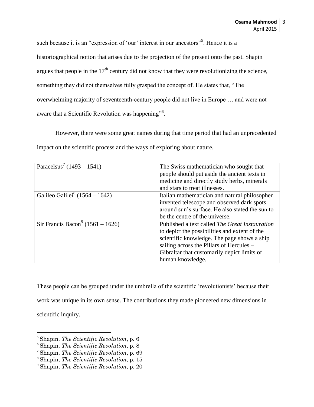such because it is an "expression of 'our' interest in our ancestors"<sup>5</sup>. Hence it is a historiographical notion that arises due to the projection of the present onto the past. Shapin argues that people in the  $17<sup>th</sup>$  century did not know that they were revolutionizing the science, something they did not themselves fully grasped the concept of. He states that, "The overwhelming majority of seventeenth-century people did not live in Europe … and were not aware that a Scientific Revolution was happening"<sup>6</sup>.

However, there were some great names during that time period that had an unprecedented impact on the scientific process and the ways of exploring about nature.

| Paracelsus' $(1493 - 1541)$                  | The Swiss mathematician who sought that<br>people should put aside the ancient texts in |
|----------------------------------------------|-----------------------------------------------------------------------------------------|
|                                              | medicine and directly study herbs, minerals                                             |
|                                              | and stars to treat illnesses.                                                           |
| Galileo Galilei <sup>8</sup> (1564 – 1642)   | Italian mathematician and natural philosopher                                           |
|                                              | invented telescope and observed dark spots                                              |
|                                              | around sun's surface. He also stated the sun to                                         |
|                                              | be the centre of the universe.                                                          |
| Sir Francis Bacon <sup>9</sup> (1561 – 1626) | Published a text called <i>The Great Instauration</i>                                   |
|                                              | to depict the possibilities and extent of the                                           |
|                                              | scientific knowledge. The page shows a ship                                             |
|                                              | sailing across the Pillars of Hercules –                                                |
|                                              | Gibraltar that customarily depict limits of                                             |
|                                              | human knowledge.                                                                        |

These people can be grouped under the umbrella of the scientific 'revolutionists' because their work was unique in its own sense. The contributions they made pioneered new dimensions in scientific inquiry.

 $\overline{\phantom{a}}$ 

<sup>5</sup> Shapin, *The Scientific Revolution*, p. 6

<sup>6</sup> Shapin, *The Scientific Revolution*, p. 8

<sup>7</sup> Shapin, *The Scientific Revolution*, p. 69

<sup>8</sup> Shapin, *The Scientific Revolution*, p. 15

<sup>9</sup> Shapin, *The Scientific Revolution*, p. 20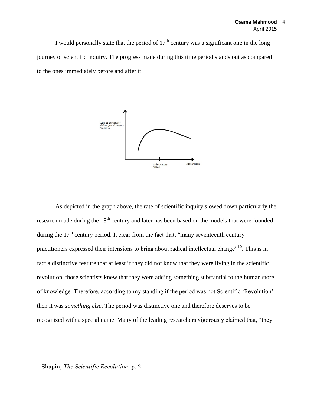I would personally state that the period of  $17<sup>th</sup>$  century was a significant one in the long journey of scientific inquiry. The progress made during this time period stands out as compared to the ones immediately before and after it.



As depicted in the graph above, the rate of scientific inquiry slowed down particularly the research made during the 18<sup>th</sup> century and later has been based on the models that were founded during the  $17<sup>th</sup>$  century period. It clear from the fact that, "many seventeenth century practitioners expressed their intensions to bring about radical intellectual change"<sup>10</sup>. This is in fact a distinctive feature that at least if they did not know that they were living in the scientific revolution, those scientists knew that they were adding something substantial to the human store of knowledge. Therefore, according to my standing if the period was not Scientific 'Revolution' then it was *something else*. The period was distinctive one and therefore deserves to be recognized with a special name. Many of the leading researchers vigorously claimed that, "they

 $\overline{a}$ 

<sup>10</sup> Shapin, *The Scientific Revolution*, p. 2